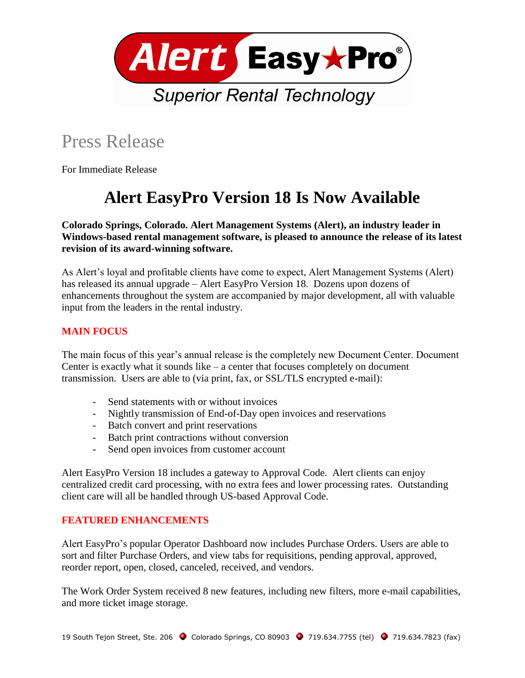

## Press Release

For Immediate Release

# **Alert EasyPro Version 18 Is Now Available**

**Colorado Springs, Colorado. Alert Management Systems (Alert), an industry leader in Windows-based rental management software, is pleased to announce the release of its latest revision of its award-winning software.**

As Alert's loyal and profitable clients have come to expect, Alert Management Systems (Alert) has released its annual upgrade – Alert EasyPro Version 18. Dozens upon dozens of enhancements throughout the system are accompanied by major development, all with valuable input from the leaders in the rental industry.

### **MAIN FOCUS**

The main focus of this year's annual release is the completely new Document Center. Document Center is exactly what it sounds like – a center that focuses completely on document transmission. Users are able to (via print, fax, or SSL/TLS encrypted e-mail):

- Send statements with or without invoices
- Nightly transmission of End-of-Day open invoices and reservations
- Batch convert and print reservations
- Batch print contractions without conversion
- Send open invoices from customer account

Alert EasyPro Version 18 includes a gateway to Approval Code. Alert clients can enjoy centralized credit card processing, with no extra fees and lower processing rates. Outstanding client care will all be handled through US-based Approval Code.

### **FEATURED ENHANCEMENTS**

Alert EasyPro's popular Operator Dashboard now includes Purchase Orders. Users are able to sort and filter Purchase Orders, and view tabs for requisitions, pending approval, approved, reorder report, open, closed, canceled, received, and vendors.

The Work Order System received 8 new features, including new filters, more e-mail capabilities, and more ticket image storage.